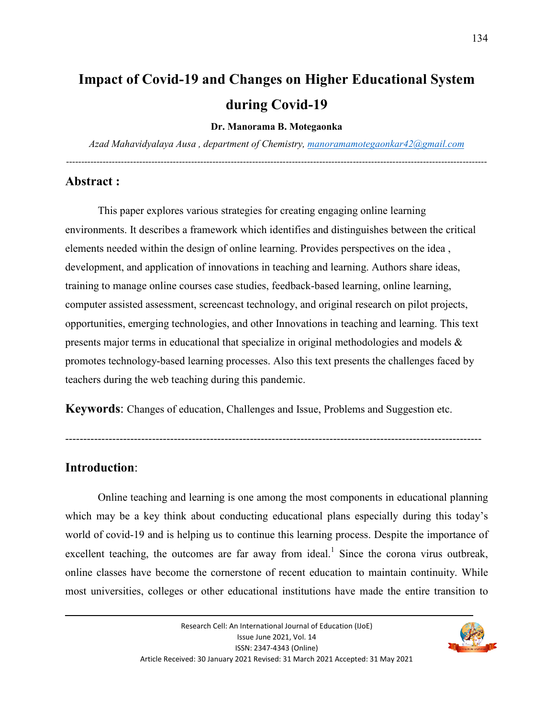# **Impact of Covid-19 and Changes on Higher Educational System during Covid-19**

#### **Dr. Manorama B. Motegaonka**

*Azad Mahavidyalaya Ausa , department of Chemistry, manoramamotegaonkar42@gmail.com* ------------------------------------------------------------------------------------------------------------------------------------------

#### **Abstract :**

This paper explores various strategies for creating engaging online learning environments. It describes a framework which identifies and distinguishes between the critical elements needed within the design of online learning. Provides perspectives on the idea , development, and application of innovations in teaching and learning. Authors share ideas, training to manage online courses case studies, feedback-based learning, online learning, computer assisted assessment, screencast technology, and original research on pilot projects, opportunities, emerging technologies, and other Innovations in teaching and learning. This text presents major terms in educational that specialize in original methodologies and models & promotes technology-based learning processes. Also this text presents the challenges faced by teachers during the web teaching during this pandemic.

**Keywords**: Changes of education, Challenges and Issue, Problems and Suggestion etc.

-------------------------------------------------------------------------------------------------------------------

#### **Introduction**:

 Online teaching and learning is one among the most components in educational planning which may be a key think about conducting educational plans especially during this today's world of covid-19 and is helping us to continue this learning process. Despite the importance of excellent teaching, the outcomes are far away from ideal.<sup>1</sup> Since the corona virus outbreak, online classes have become the cornerstone of recent education to maintain continuity. While most universities, colleges or other educational institutions have made the entire transition to

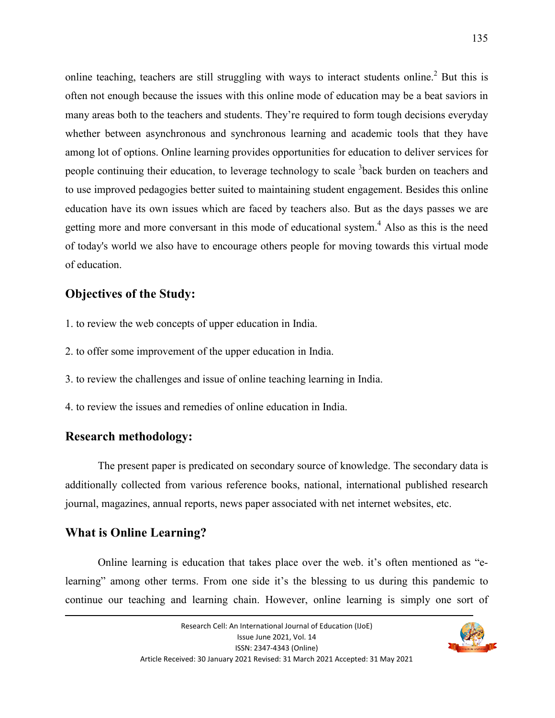online teaching, teachers are still struggling with ways to interact students online.<sup>2</sup> But this is often not enough because the issues with this online mode of education may be a beat saviors in many areas both to the teachers and students. They're required to form tough decisions everyday whether between asynchronous and synchronous learning and academic tools that they have among lot of options. Online learning provides opportunities for education to deliver services for people continuing their education, to leverage technology to scale <sup>3</sup>back burden on teachers and to use improved pedagogies better suited to maintaining student engagement. Besides this online education have its own issues which are faced by teachers also. But as the days passes we are getting more and more conversant in this mode of educational system.<sup>4</sup> Also as this is the need of today's world we also have to encourage others people for moving towards this virtual mode of education.

### **Objectives of the Study:**

- 1. to review the web concepts of upper education in India.
- 2. to offer some improvement of the upper education in India.
- 3. to review the challenges and issue of online teaching learning in India.
- 4. to review the issues and remedies of online education in India.

#### **Research methodology:**

 The present paper is predicated on secondary source of knowledge. The secondary data is additionally collected from various reference books, national, international published research journal, magazines, annual reports, news paper associated with net internet websites, etc.

## **What is Online Learning?**

 Online learning is education that takes place over the web. it's often mentioned as "elearning" among other terms. From one side it's the blessing to us during this pandemic to continue our teaching and learning chain. However, online learning is simply one sort of

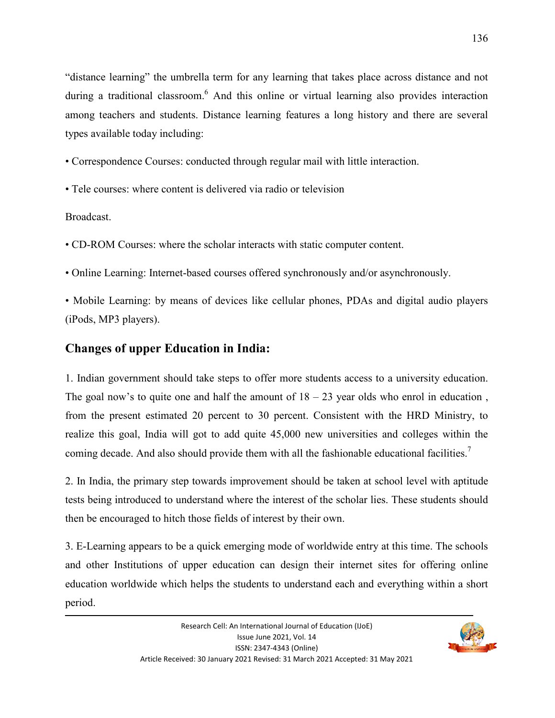"distance learning" the umbrella term for any learning that takes place across distance and not during a traditional classroom.<sup>6</sup> And this online or virtual learning also provides interaction among teachers and students. Distance learning features a long history and there are several types available today including:

- Correspondence Courses: conducted through regular mail with little interaction.
- Tele courses: where content is delivered via radio or television

Broadcast.

- CD-ROM Courses: where the scholar interacts with static computer content.
- Online Learning: Internet-based courses offered synchronously and/or asynchronously.
- Mobile Learning: by means of devices like cellular phones, PDAs and digital audio players (iPods, MP3 players).

## **Changes of upper Education in India:**

1. Indian government should take steps to offer more students access to a university education. The goal now's to quite one and half the amount of  $18 - 23$  year olds who enrol in education, from the present estimated 20 percent to 30 percent. Consistent with the HRD Ministry, to realize this goal, India will got to add quite 45,000 new universities and colleges within the coming decade. And also should provide them with all the fashionable educational facilities.<sup>7</sup>

2. In India, the primary step towards improvement should be taken at school level with aptitude tests being introduced to understand where the interest of the scholar lies. These students should then be encouraged to hitch those fields of interest by their own.

3. E-Learning appears to be a quick emerging mode of worldwide entry at this time. The schools and other Institutions of upper education can design their internet sites for offering online education worldwide which helps the students to understand each and everything within a short period.

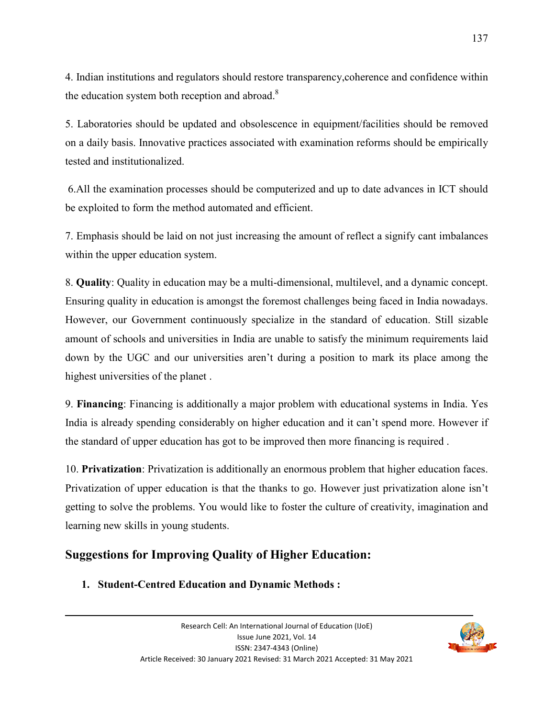4. Indian institutions and regulators should restore transparency,coherence and confidence within the education system both reception and abroad. $8$ 

5. Laboratories should be updated and obsolescence in equipment/facilities should be removed on a daily basis. Innovative practices associated with examination reforms should be empirically tested and institutionalized.

 6.All the examination processes should be computerized and up to date advances in ICT should be exploited to form the method automated and efficient.

7. Emphasis should be laid on not just increasing the amount of reflect a signify cant imbalances within the upper education system.

8. **Quality**: Quality in education may be a multi-dimensional, multilevel, and a dynamic concept. Ensuring quality in education is amongst the foremost challenges being faced in India nowadays. However, our Government continuously specialize in the standard of education. Still sizable amount of schools and universities in India are unable to satisfy the minimum requirements laid down by the UGC and our universities aren't during a position to mark its place among the highest universities of the planet .

9. **Financing**: Financing is additionally a major problem with educational systems in India. Yes India is already spending considerably on higher education and it can't spend more. However if the standard of upper education has got to be improved then more financing is required .

10. **Privatization**: Privatization is additionally an enormous problem that higher education faces. Privatization of upper education is that the thanks to go. However just privatization alone isn't getting to solve the problems. You would like to foster the culture of creativity, imagination and learning new skills in young students.

> Issue June 2021, Vol. 14 ISSN: 2347-4343 (Online)

## **Suggestions for Improving Quality of Higher Education:**

**1. Student-Centred Education and Dynamic Methods :**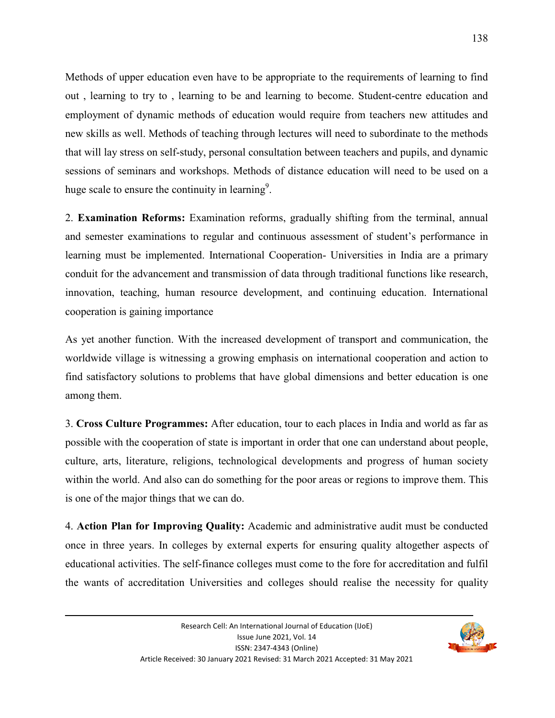Methods of upper education even have to be appropriate to the requirements of learning to find out , learning to try to , learning to be and learning to become. Student-centre education and employment of dynamic methods of education would require from teachers new attitudes and new skills as well. Methods of teaching through lectures will need to subordinate to the methods that will lay stress on self-study, personal consultation between teachers and pupils, and dynamic sessions of seminars and workshops. Methods of distance education will need to be used on a huge scale to ensure the continuity in learning<sup>9</sup>.

2. **Examination Reforms:** Examination reforms, gradually shifting from the terminal, annual and semester examinations to regular and continuous assessment of student's performance in learning must be implemented. International Cooperation- Universities in India are a primary conduit for the advancement and transmission of data through traditional functions like research, innovation, teaching, human resource development, and continuing education. International cooperation is gaining importance

As yet another function. With the increased development of transport and communication, the worldwide village is witnessing a growing emphasis on international cooperation and action to find satisfactory solutions to problems that have global dimensions and better education is one among them.

3. **Cross Culture Programmes:** After education, tour to each places in India and world as far as possible with the cooperation of state is important in order that one can understand about people, culture, arts, literature, religions, technological developments and progress of human society within the world. And also can do something for the poor areas or regions to improve them. This is one of the major things that we can do.

4. **Action Plan for Improving Quality:** Academic and administrative audit must be conducted once in three years. In colleges by external experts for ensuring quality altogether aspects of educational activities. The self-finance colleges must come to the fore for accreditation and fulfil the wants of accreditation Universities and colleges should realise the necessity for quality

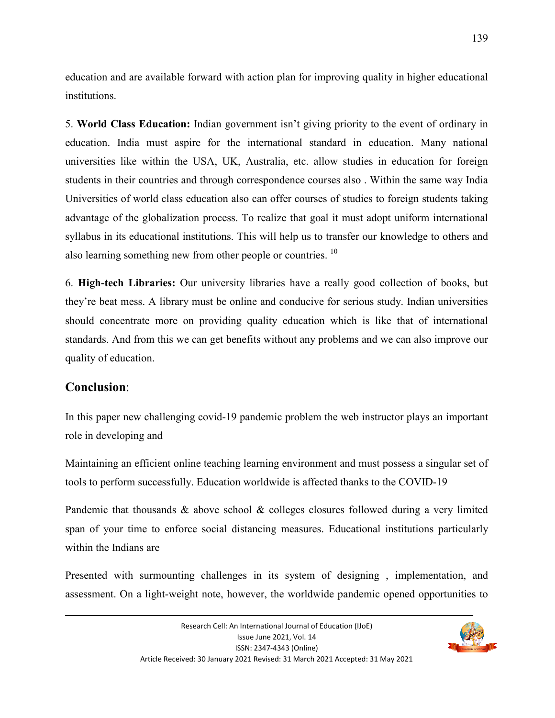education and are available forward with action plan for improving quality in higher educational institutions.

5. **World Class Education:** Indian government isn't giving priority to the event of ordinary in education. India must aspire for the international standard in education. Many national universities like within the USA, UK, Australia, etc. allow studies in education for foreign students in their countries and through correspondence courses also . Within the same way India Universities of world class education also can offer courses of studies to foreign students taking advantage of the globalization process. To realize that goal it must adopt uniform international syllabus in its educational institutions. This will help us to transfer our knowledge to others and also learning something new from other people or countries.<sup>10</sup>

6. **High-tech Libraries:** Our university libraries have a really good collection of books, but they're beat mess. A library must be online and conducive for serious study. Indian universities should concentrate more on providing quality education which is like that of international standards. And from this we can get benefits without any problems and we can also improve our quality of education.

### **Conclusion**:

In this paper new challenging covid-19 pandemic problem the web instructor plays an important role in developing and

Maintaining an efficient online teaching learning environment and must possess a singular set of tools to perform successfully. Education worldwide is affected thanks to the COVID-19

Pandemic that thousands & above school & colleges closures followed during a very limited span of your time to enforce social distancing measures. Educational institutions particularly within the Indians are

Presented with surmounting challenges in its system of designing , implementation, and assessment. On a light-weight note, however, the worldwide pandemic opened opportunities to

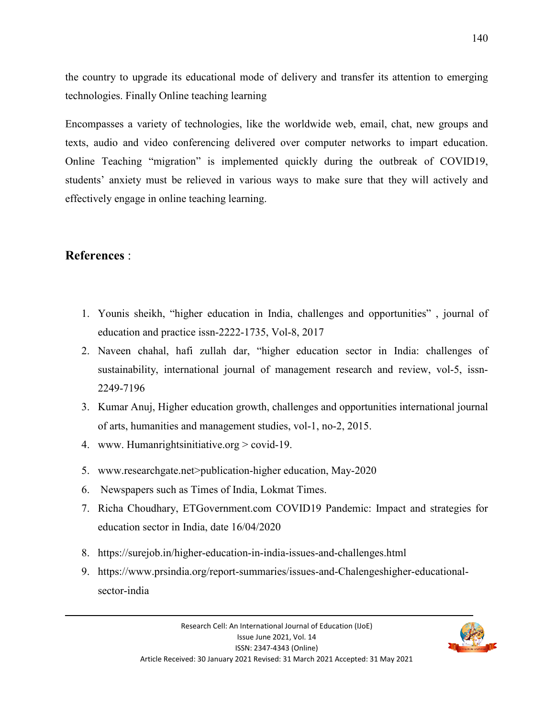the country to upgrade its educational mode of delivery and transfer its attention to emerging technologies. Finally Online teaching learning

Encompasses a variety of technologies, like the worldwide web, email, chat, new groups and texts, audio and video conferencing delivered over computer networks to impart education. Online Teaching "migration" is implemented quickly during the outbreak of COVID19, students' anxiety must be relieved in various ways to make sure that they will actively and effectively engage in online teaching learning.

## **References** :

- 1. Younis sheikh, "higher education in India, challenges and opportunities" , journal of education and practice issn-2222-1735, Vol-8, 2017
- 2. Naveen chahal, hafi zullah dar, "higher education sector in India: challenges of sustainability, international journal of management research and review, vol-5, issn-2249-7196
- 3. Kumar Anuj, Higher education growth, challenges and opportunities international journal of arts, humanities and management studies, vol-1, no-2, 2015.
- 4. www. Humanrightsinitiative.org > covid-19.
- 5. www.researchgate.net>publication-higher education, May-2020
- 6. Newspapers such as Times of India, Lokmat Times.
- 7. Richa Choudhary, ETGovernment.com COVID19 Pandemic: Impact and strategies for education sector in India, date 16/04/2020
- 8. https://surejob.in/higher-education-in-india-issues-and-challenges.html
- 9. https://www.prsindia.org/report-summaries/issues-and-Chalengeshigher-educationalsector-india